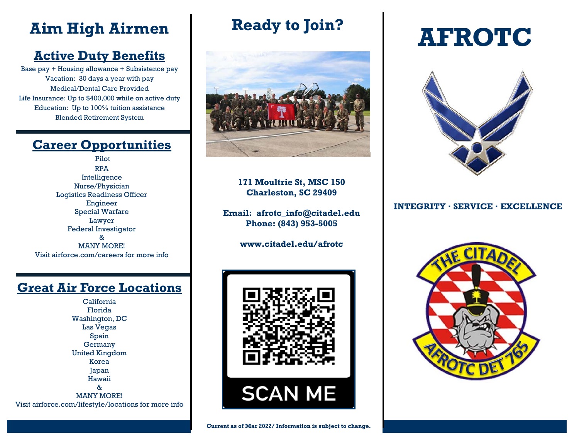# **Active Duty Benefits**

Base pay + Housing allowance + Subsistence pay Vacation: 30 days a year with pay Medical/Dental Care Provided Life Insurance: Up to \$400,000 while on active duty Education: Up to 100% tuition assistance Blended Retirement System

## **Career Opportunities**

Pilot RPA Intelligence Nurse/Physician Logistics Readiness Officer Engineer Special Warfare Lawyer Federal Investigator & MANY MORE! Visit airforce.com/careers for more info

## **Great Air Force Locations**

California Florida Washington, DC Las Vegas Spain **Germany** United Kingdom Korea Japan Hawaii & MANY MORE! Visit airforce.com/lifestyle/locations for more info **Ready to Join?** 



**171 Moultrie St, MSC 150 Charleston, SC 29409** 

**Email: afrotc\_info@citadel.edu Phone: (843) 953-5005** 

**www.citadel.edu/afrotc** 



# Aim High Airmen Ready to Join? **AFROTC**



### **INTEGRITY · SERVICE · EXCELLENCE**